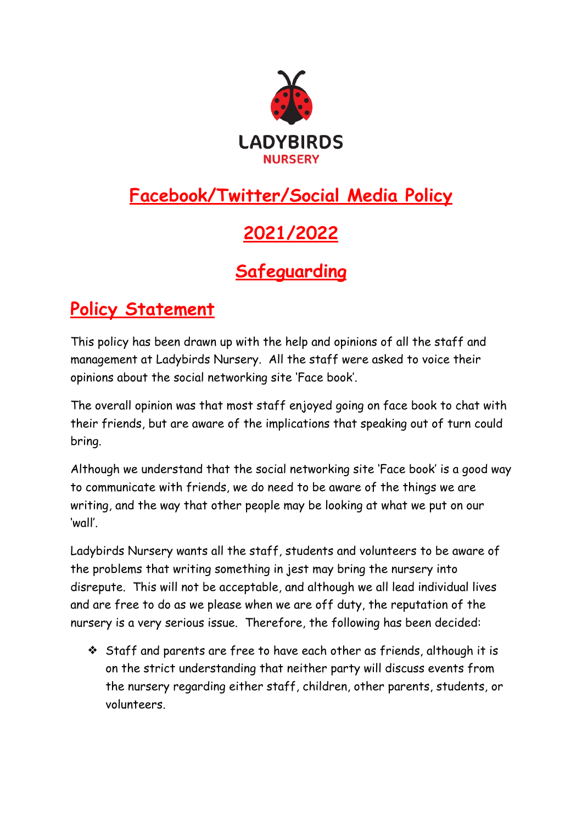

## **Facebook/Twitter/Social Media Policy**

## **2021/2022**

## **Safeguarding**

## **Policy Statement**

This policy has been drawn up with the help and opinions of all the staff and management at Ladybirds Nursery. All the staff were asked to voice their opinions about the social networking site 'Face book'.

The overall opinion was that most staff enjoyed going on face book to chat with their friends, but are aware of the implications that speaking out of turn could bring.

Although we understand that the social networking site 'Face book' is a good way to communicate with friends, we do need to be aware of the things we are writing, and the way that other people may be looking at what we put on our 'wall'.

Ladybirds Nursery wants all the staff, students and volunteers to be aware of the problems that writing something in jest may bring the nursery into disrepute. This will not be acceptable, and although we all lead individual lives and are free to do as we please when we are off duty, the reputation of the nursery is a very serious issue. Therefore, the following has been decided:

❖ Staff and parents are free to have each other as friends, although it is on the strict understanding that neither party will discuss events from the nursery regarding either staff, children, other parents, students, or volunteers.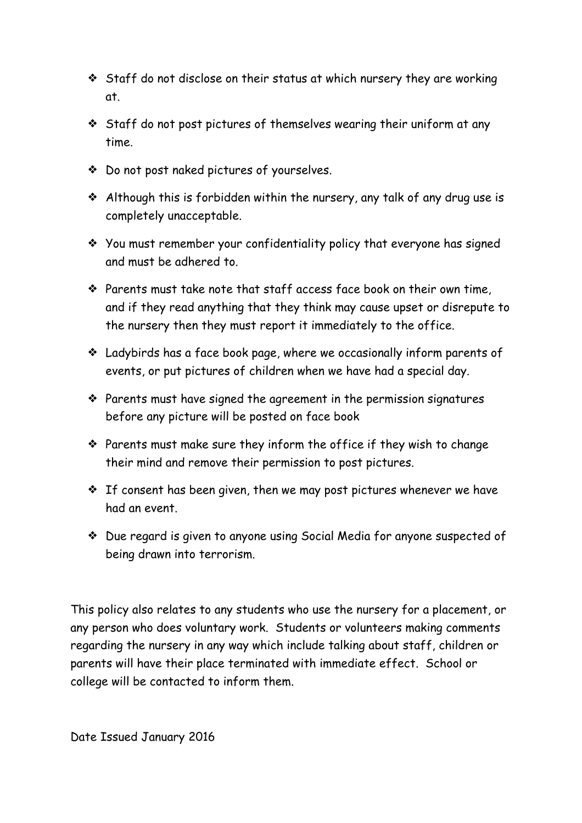- ❖ Staff do not disclose on their status at which nursery they are working at.
- ❖ Staff do not post pictures of themselves wearing their uniform at any time.
- ❖ Do not post naked pictures of yourselves.
- ❖ Although this is forbidden within the nursery, any talk of any drug use is completely unacceptable.
- ❖ You must remember your confidentiality policy that everyone has signed and must be adhered to.
- ❖ Parents must take note that staff access face book on their own time, and if they read anything that they think may cause upset or disrepute to the nursery then they must report it immediately to the office.
- ❖ Ladybirds has a face book page, where we occasionally inform parents of events, or put pictures of children when we have had a special day.
- ❖ Parents must have signed the agreement in the permission signatures before any picture will be posted on face book
- ❖ Parents must make sure they inform the office if they wish to change their mind and remove their permission to post pictures.
- ❖ If consent has been given, then we may post pictures whenever we have had an event.
- ❖ Due regard is given to anyone using Social Media for anyone suspected of being drawn into terrorism.

This policy also relates to any students who use the nursery for a placement, or any person who does voluntary work. Students or volunteers making comments regarding the nursery in any way which include talking about staff, children or parents will have their place terminated with immediate effect. School or college will be contacted to inform them.

Date Issued January 2016